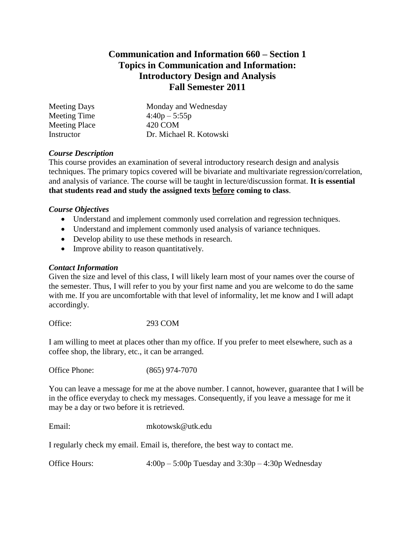## **Communication and Information 660 – Section 1 Topics in Communication and Information: Introductory Design and Analysis Fall Semester 2011**

| <b>Meeting Days</b>  | Monday and Wednesday    |
|----------------------|-------------------------|
| Meeting Time         | $4:40p - 5:55p$         |
| <b>Meeting Place</b> | 420 COM                 |
| Instructor           | Dr. Michael R. Kotowski |

## *Course Description*

This course provides an examination of several introductory research design and analysis techniques. The primary topics covered will be bivariate and multivariate regression/correlation, and analysis of variance. The course will be taught in lecture/discussion format. **It is essential that students read and study the assigned texts before coming to class**.

## *Course Objectives*

- Understand and implement commonly used correlation and regression techniques.
- Understand and implement commonly used analysis of variance techniques.
- Develop ability to use these methods in research.
- Improve ability to reason quantitatively.

#### *Contact Information*

Given the size and level of this class, I will likely learn most of your names over the course of the semester. Thus, I will refer to you by your first name and you are welcome to do the same with me. If you are uncomfortable with that level of informality, let me know and I will adapt accordingly.

Office: 293 COM

I am willing to meet at places other than my office. If you prefer to meet elsewhere, such as a coffee shop, the library, etc., it can be arranged.

Office Phone: (865) 974-7070

You can leave a message for me at the above number. I cannot, however, guarantee that I will be in the office everyday to check my messages. Consequently, if you leave a message for me it may be a day or two before it is retrieved.

Email: mkotowsk@utk.edu

I regularly check my email. Email is, therefore, the best way to contact me.

Office Hours: 4:00p – 5:00p Tuesday and 3:30p – 4:30p Wednesday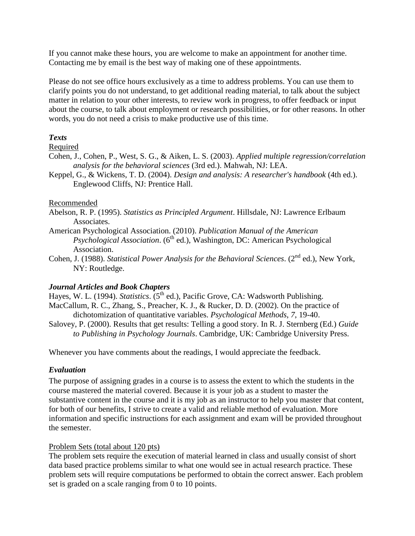If you cannot make these hours, you are welcome to make an appointment for another time. Contacting me by email is the best way of making one of these appointments.

Please do not see office hours exclusively as a time to address problems. You can use them to clarify points you do not understand, to get additional reading material, to talk about the subject matter in relation to your other interests, to review work in progress, to offer feedback or input about the course, to talk about employment or research possibilities, or for other reasons. In other words, you do not need a crisis to make productive use of this time.

## *Texts*

## Required

- Cohen, J., Cohen, P., West, S. G., & Aiken, L. S. (2003). *Applied multiple regression/correlation analysis for the behavioral sciences* (3rd ed.). Mahwah, NJ: LEA.
- Keppel, G., & Wickens, T. D. (2004). *Design and analysis: A researcher's handbook* (4th ed.). Englewood Cliffs, NJ: Prentice Hall.

#### Recommended

Abelson, R. P. (1995). *Statistics as Principled Argument*. Hillsdale, NJ: Lawrence Erlbaum Associates.

- American Psychological Association. (2010). *Publication Manual of the American Psychological Association.* (6<sup>th</sup> ed.), Washington, DC: American Psychological Association.
- Cohen, J. (1988). *Statistical Power Analysis for the Behavioral Sciences*. (2<sup>nd</sup> ed.), New York, NY: Routledge.

## *Journal Articles and Book Chapters*

Hayes, W. L. (1994). *Statistics*. (5<sup>th</sup> ed.), Pacific Grove, CA: Wadsworth Publishing. MacCallum, R. C., Zhang, S., Preacher, K. J., & Rucker, D. D. (2002). On the practice of dichotomization of quantitative variables. *Psychological Methods*, *7*, 19-40.

Salovey, P. (2000). Results that get results: Telling a good story. In R. J. Sternberg (Ed.) *Guide to Publishing in Psychology Journals*. Cambridge, UK: Cambridge University Press.

Whenever you have comments about the readings, I would appreciate the feedback.

## *Evaluation*

The purpose of assigning grades in a course is to assess the extent to which the students in the course mastered the material covered. Because it is your job as a student to master the substantive content in the course and it is my job as an instructor to help you master that content, for both of our benefits, I strive to create a valid and reliable method of evaluation. More information and specific instructions for each assignment and exam will be provided throughout the semester.

## Problem Sets (total about 120 pts)

The problem sets require the execution of material learned in class and usually consist of short data based practice problems similar to what one would see in actual research practice. These problem sets will require computations be performed to obtain the correct answer. Each problem set is graded on a scale ranging from 0 to 10 points.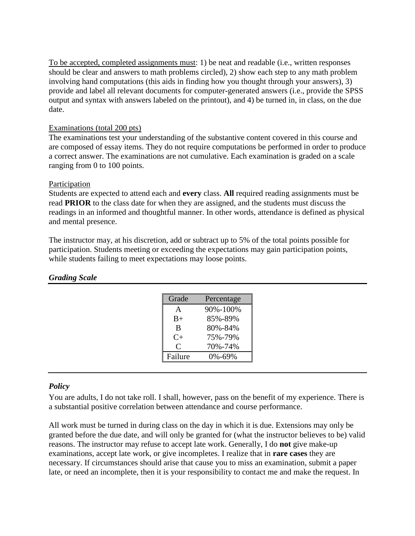To be accepted, completed assignments must: 1) be neat and readable (i.e., written responses should be clear and answers to math problems circled), 2) show each step to any math problem involving hand computations (this aids in finding how you thought through your answers), 3) provide and label all relevant documents for computer-generated answers (i.e., provide the SPSS output and syntax with answers labeled on the printout), and 4) be turned in, in class, on the due date.

## Examinations (total 200 pts)

The examinations test your understanding of the substantive content covered in this course and are composed of essay items. They do not require computations be performed in order to produce a correct answer. The examinations are not cumulative. Each examination is graded on a scale ranging from 0 to 100 points.

#### Participation

Students are expected to attend each and **every** class. **All** required reading assignments must be read **PRIOR** to the class date for when they are assigned, and the students must discuss the readings in an informed and thoughtful manner. In other words, attendance is defined as physical and mental presence.

The instructor may, at his discretion, add or subtract up to 5% of the total points possible for participation. Students meeting or exceeding the expectations may gain participation points, while students failing to meet expectations may loose points.

| Grade     | Percentage |
|-----------|------------|
| A         | 90%-100%   |
| $B+$      | 85%-89%    |
| B         | 80%-84%    |
| $C+$      | 75%-79%    |
| $\subset$ | 70%-74%    |
| Failure   | 0%-69%     |

## *Grading Scale*

#### *Policy*

You are adults, I do not take roll. I shall, however, pass on the benefit of my experience. There is a substantial positive correlation between attendance and course performance.

All work must be turned in during class on the day in which it is due. Extensions may only be granted before the due date, and will only be granted for (what the instructor believes to be) valid reasons. The instructor may refuse to accept late work. Generally, I do **not** give make-up examinations, accept late work, or give incompletes. I realize that in **rare cases** they are necessary. If circumstances should arise that cause you to miss an examination, submit a paper late, or need an incomplete, then it is your responsibility to contact me and make the request. In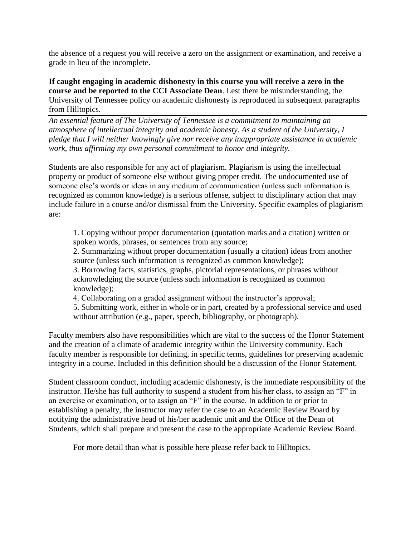the absence of a request you will receive a zero on the assignment or examination, and receive a grade in lieu of the incomplete.

**If caught engaging in academic dishonesty in this course you will receive a zero in the course and be reported to the CCI Associate Dean**. Lest there be misunderstanding, the University of Tennessee policy on academic dishonesty is reproduced in subsequent paragraphs from Hilltopics.

*An essential feature of The University of Tennessee is a commitment to maintaining an atmosphere of intellectual integrity and academic honesty. As a student of the University, I pledge that I will neither knowingly give nor receive any inappropriate assistance in academic work, thus affirming my own personal commitment to honor and integrity.*

Students are also responsible for any act of plagiarism. Plagiarism is using the intellectual property or product of someone else without giving proper credit. The undocumented use of someone else's words or ideas in any medium of communication (unless such information is recognized as common knowledge) is a serious offense, subject to disciplinary action that may include failure in a course and/or dismissal from the University. Specific examples of plagiarism are:

1. Copying without proper documentation (quotation marks and a citation) written or spoken words, phrases, or sentences from any source;

2. Summarizing without proper documentation (usually a citation) ideas from another source (unless such information is recognized as common knowledge);

3. Borrowing facts, statistics, graphs, pictorial representations, or phrases without acknowledging the source (unless such information is recognized as common knowledge);

4. Collaborating on a graded assignment without the instructor's approval;

5. Submitting work, either in whole or in part, created by a professional service and used without attribution (e.g., paper, speech, bibliography, or photograph).

Faculty members also have responsibilities which are vital to the success of the Honor Statement and the creation of a climate of academic integrity within the University community. Each faculty member is responsible for defining, in specific terms, guidelines for preserving academic integrity in a course. Included in this definition should be a discussion of the Honor Statement.

Student classroom conduct, including academic dishonesty, is the immediate responsibility of the instructor. He/she has full authority to suspend a student from his/her class, to assign an "F" in an exercise or examination, or to assign an "F" in the course. In addition to or prior to establishing a penalty, the instructor may refer the case to an Academic Review Board by notifying the administrative head of his/her academic unit and the Office of the Dean of Students, which shall prepare and present the case to the appropriate Academic Review Board.

For more detail than what is possible here please refer back to Hilltopics.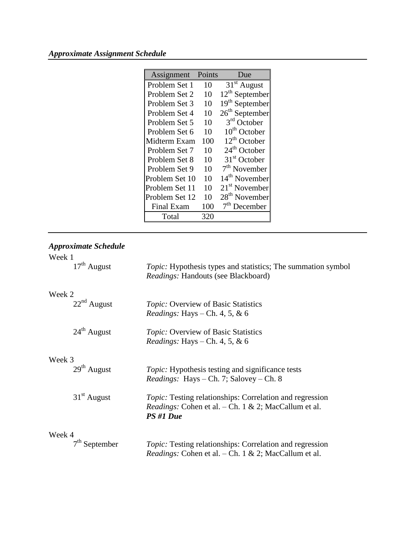# *Approximate Assignment Schedule*

| Assignment        | Points | Due                        |
|-------------------|--------|----------------------------|
| Problem Set 1     | 10     | $31st$ August              |
| Problem Set 2     | 10     | $12^{th}$ September        |
| Problem Set 3     | 10     | 19 <sup>th</sup> September |
| Problem Set 4     | 10     | 26 <sup>th</sup> September |
| Problem Set 5     | 10     | 3 <sup>rd</sup> October    |
| Problem Set 6     | 10     | 10 <sup>th</sup> October   |
| Midterm Exam      | 100    | 12 <sup>th</sup> October   |
| Problem Set 7     | 10     | 24 <sup>th</sup> October   |
| Problem Set 8     | 10     | 31 <sup>st</sup> October   |
| Problem Set 9     | 10     | $7th$ November             |
| Problem Set 10    | 10     | 14 <sup>th</sup> November  |
| Problem Set 11    | 10     | $21st$ November            |
| Problem Set 12    | 10     | 28 <sup>th</sup> November  |
| <b>Final Exam</b> | 100    | $7th$ December             |
| Total             | 320    |                            |

| Week 1<br>$17th$ August |                                                                                                             |
|-------------------------|-------------------------------------------------------------------------------------------------------------|
|                         | <i>Topic</i> : Hypothesis types and statistics; The summation symbol<br>Readings: Handouts (see Blackboard) |
| Week 2                  |                                                                                                             |
| $22nd$ August           | <i>Topic:</i> Overview of Basic Statistics<br><i>Readings:</i> Hays – Ch. 4, 5, & 6                         |
| $24th$ August           | <i>Topic:</i> Overview of Basic Statistics                                                                  |
|                         | <i>Readings:</i> Hays – Ch. 4, 5, & 6                                                                       |
| Week 3                  |                                                                                                             |
| $29th$ August           | <i>Topic:</i> Hypothesis testing and significance tests                                                     |
|                         | <i>Readings:</i> Hays – Ch. 7; Salovey – Ch. 8                                                              |
| $31st$ August           | <i>Topic:</i> Testing relationships: Correlation and regression                                             |
|                         | <i>Readings:</i> Cohen et al. – Ch. 1 & 2; MacCallum et al.<br>PS#1 Due                                     |
| Week 4                  |                                                                                                             |
| $7th$ September         | <i>Topic:</i> Testing relationships: Correlation and regression                                             |
|                         | <i>Readings:</i> Cohen et al. – Ch. 1 & 2; MacCallum et al.                                                 |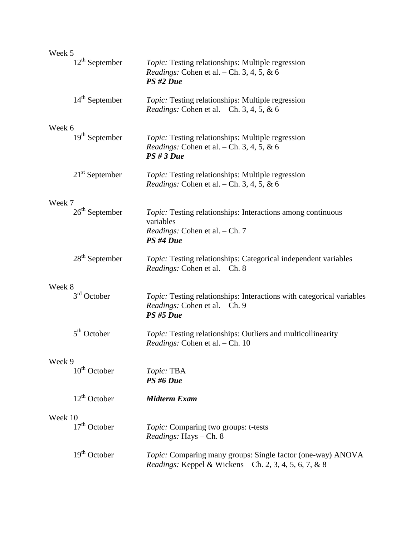| Week 5                     |                                                                                                                              |
|----------------------------|------------------------------------------------------------------------------------------------------------------------------|
| $12th$ September           | <i>Topic:</i> Testing relationships: Multiple regression<br><i>Readings:</i> Cohen et al. $-$ Ch. 3, 4, 5, & 6<br>PS#2 Due   |
| $14th$ September           | Topic: Testing relationships: Multiple regression<br><i>Readings:</i> Cohen et al. $-$ Ch. 3, 4, 5, & 6                      |
| Week 6<br>$19th$ September | <i>Topic:</i> Testing relationships: Multiple regression<br>Readings: Cohen et al. - Ch. 3, 4, 5, & 6<br>$PS \# 3 Due$       |
| $21st$ September           | <i>Topic:</i> Testing relationships: Multiple regression<br><i>Readings:</i> Cohen et al. $-$ Ch. 3, 4, 5, & 6               |
| Week 7                     |                                                                                                                              |
| $26th$ September           | <i>Topic:</i> Testing relationships: Interactions among continuous<br>variables                                              |
|                            | Readings: Cohen et al. - Ch. 7<br>PS#4 Due                                                                                   |
| $28th$ September           | Topic: Testing relationships: Categorical independent variables<br><i>Readings:</i> Cohen et al. – Ch. 8                     |
| Week 8                     |                                                                                                                              |
| $3rd$ October              | Topic: Testing relationships: Interactions with categorical variables<br>Readings: Cohen et al. - Ch. 9<br>PS #5 Due         |
| $5th$ October              | Topic: Testing relationships: Outliers and multicollinearity<br>Readings: Cohen et al. - Ch. 10                              |
| Week 9                     |                                                                                                                              |
| $10th$ October             | Topic: TBA<br>PS#6 Due                                                                                                       |
| $12^{th}$ October          | <b>Midterm Exam</b>                                                                                                          |
| Week 10                    |                                                                                                                              |
| $17th$ October             | Topic: Comparing two groups: t-tests<br>Readings: Hays - Ch. 8                                                               |
| $19th$ October             | <i>Topic:</i> Comparing many groups: Single factor (one-way) ANOVA<br>Readings: Keppel & Wickens - Ch. 2, 3, 4, 5, 6, 7, & 8 |